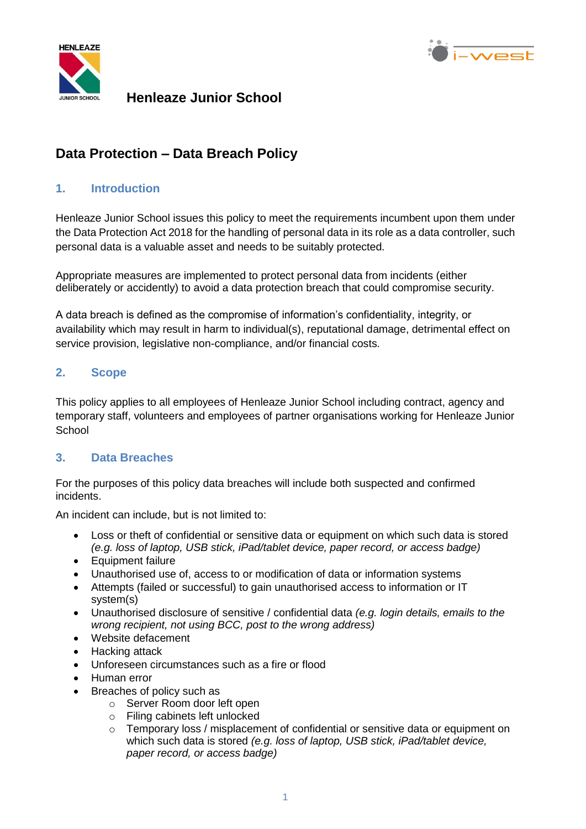



### **Henleaze Junior School**

## **Data Protection – Data Breach Policy**

#### **1. Introduction**

Henleaze Junior School issues this policy to meet the requirements incumbent upon them under the Data Protection Act 2018 for the handling of personal data in its role as a data controller, such personal data is a valuable asset and needs to be suitably protected.

Appropriate measures are implemented to protect personal data from incidents (either deliberately or accidently) to avoid a data protection breach that could compromise security.

A data breach is defined as the compromise of information's confidentiality, integrity, or availability which may result in harm to individual(s), reputational damage, detrimental effect on service provision, legislative non-compliance, and/or financial costs.

#### **2. Scope**

This policy applies to all employees of Henleaze Junior School including contract, agency and temporary staff, volunteers and employees of partner organisations working for Henleaze Junior **School** 

#### **3. Data Breaches**

For the purposes of this policy data breaches will include both suspected and confirmed incidents.

An incident can include, but is not limited to:

- Loss or theft of confidential or sensitive data or equipment on which such data is stored *(e.g. loss of laptop, USB stick, iPad/tablet device, paper record, or access badge)*
- Equipment failure
- Unauthorised use of, access to or modification of data or information systems
- Attempts (failed or successful) to gain unauthorised access to information or IT system(s)
- Unauthorised disclosure of sensitive / confidential data *(e.g. login details, emails to the wrong recipient, not using BCC, post to the wrong address)*
- Website defacement
- Hacking attack
- Unforeseen circumstances such as a fire or flood
- Human error
- Breaches of policy such as
	- o Server Room door left open
	- o Filing cabinets left unlocked
	- $\circ$  Temporary loss / misplacement of confidential or sensitive data or equipment on which such data is stored *(e.g. loss of laptop, USB stick, iPad/tablet device, paper record, or access badge)*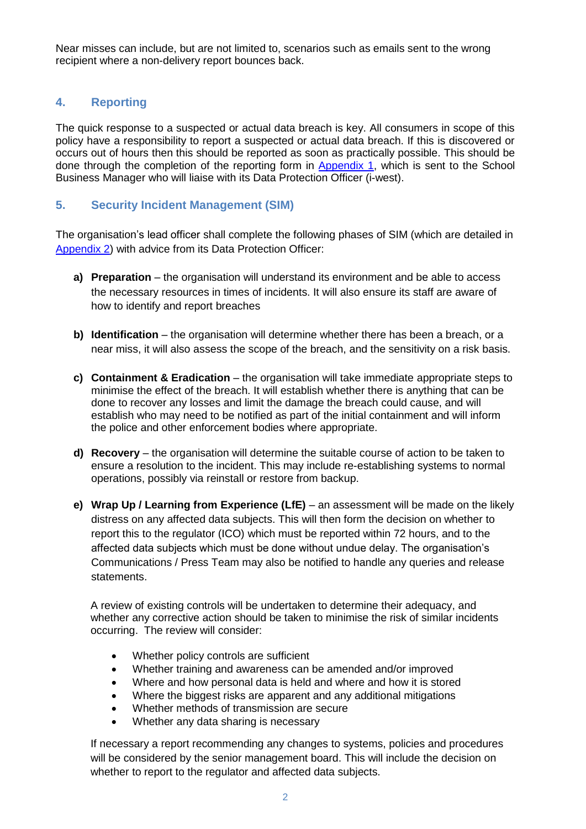Near misses can include, but are not limited to, scenarios such as emails sent to the wrong recipient where a non-delivery report bounces back.

#### **4. Reporting**

The quick response to a suspected or actual data breach is key. All consumers in scope of this policy have a responsibility to report a suspected or actual data breach. If this is discovered or occurs out of hours then this should be reported as soon as practically possible. This should be done through the completion of the reporting form in [Appendix 1,](#page-3-0) which is sent to the School Business Manager who will liaise with its Data Protection Officer (i-west).

#### **5. Security Incident Management (SIM)**

The organisation's lead officer shall complete the following phases of SIM (which are detailed in [Appendix 2\)](#page-4-0) with advice from its Data Protection Officer:

- **a) Preparation** the organisation will understand its environment and be able to access the necessary resources in times of incidents. It will also ensure its staff are aware of how to identify and report breaches
- **b) Identification** the organisation will determine whether there has been a breach, or a near miss, it will also assess the scope of the breach, and the sensitivity on a risk basis.
- **c) Containment & Eradication** the organisation will take immediate appropriate steps to minimise the effect of the breach. It will establish whether there is anything that can be done to recover any losses and limit the damage the breach could cause, and will establish who may need to be notified as part of the initial containment and will inform the police and other enforcement bodies where appropriate.
- **d) Recovery** the organisation will determine the suitable course of action to be taken to ensure a resolution to the incident. This may include re-establishing systems to normal operations, possibly via reinstall or restore from backup.
- **e) Wrap Up / Learning from Experience (LfE)** an assessment will be made on the likely distress on any affected data subjects. This will then form the decision on whether to report this to the regulator (ICO) which must be reported within 72 hours, and to the affected data subjects which must be done without undue delay. The organisation's Communications / Press Team may also be notified to handle any queries and release statements.

A review of existing controls will be undertaken to determine their adequacy, and whether any corrective action should be taken to minimise the risk of similar incidents occurring. The review will consider:

- Whether policy controls are sufficient
- Whether training and awareness can be amended and/or improved
- Where and how personal data is held and where and how it is stored
- Where the biggest risks are apparent and any additional mitigations
- Whether methods of transmission are secure
- Whether any data sharing is necessary

If necessary a report recommending any changes to systems, policies and procedures will be considered by the senior management board. This will include the decision on whether to report to the regulator and affected data subjects.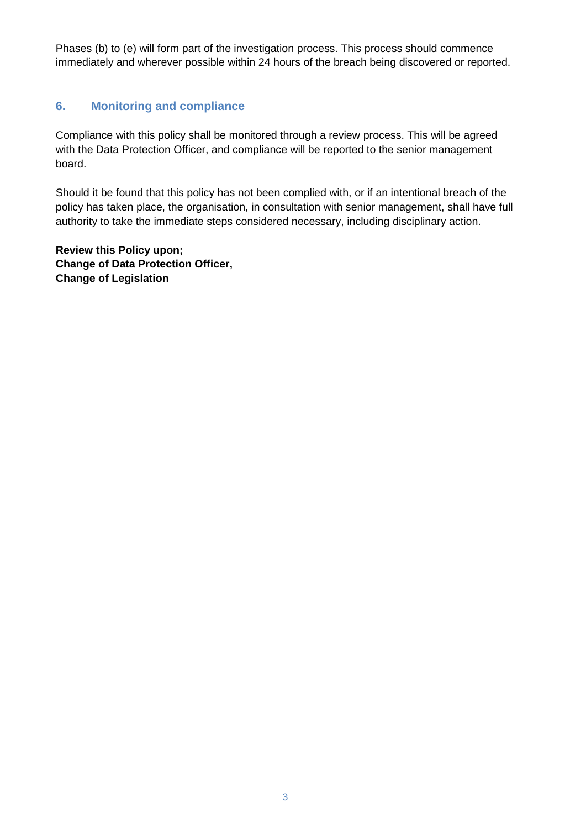Phases (b) to (e) will form part of the investigation process. This process should commence immediately and wherever possible within 24 hours of the breach being discovered or reported.

#### **6. Monitoring and compliance**

Compliance with this policy shall be monitored through a review process. This will be agreed with the Data Protection Officer, and compliance will be reported to the senior management board.

Should it be found that this policy has not been complied with, or if an intentional breach of the policy has taken place, the organisation, in consultation with senior management, shall have full authority to take the immediate steps considered necessary, including disciplinary action.

**Review this Policy upon; Change of Data Protection Officer, Change of Legislation**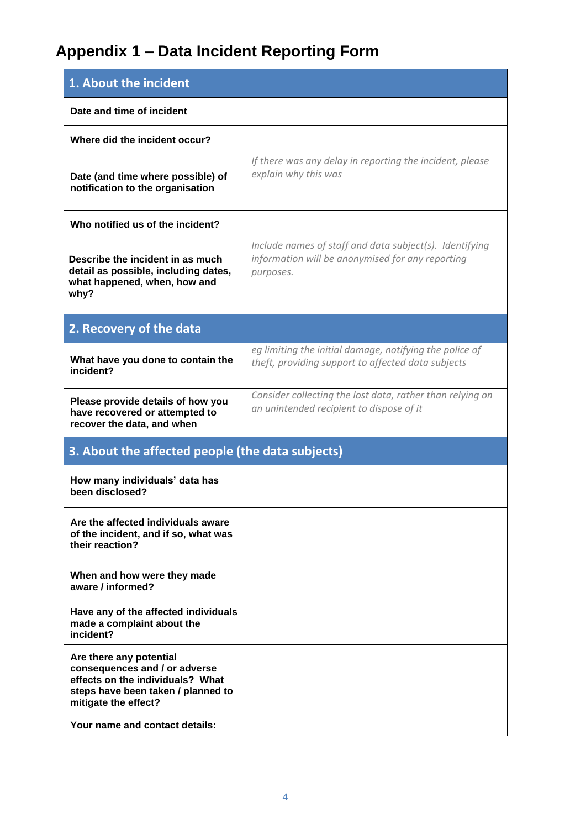# **Appendix 1 – Data Incident Reporting Form**

<span id="page-3-0"></span>

| 1. About the incident                                                                                                                                      |                                                                                                                          |  |  |
|------------------------------------------------------------------------------------------------------------------------------------------------------------|--------------------------------------------------------------------------------------------------------------------------|--|--|
| Date and time of incident                                                                                                                                  |                                                                                                                          |  |  |
| Where did the incident occur?                                                                                                                              |                                                                                                                          |  |  |
| Date (and time where possible) of<br>notification to the organisation                                                                                      | If there was any delay in reporting the incident, please<br>explain why this was                                         |  |  |
| Who notified us of the incident?                                                                                                                           |                                                                                                                          |  |  |
| Describe the incident in as much<br>detail as possible, including dates,<br>what happened, when, how and<br>why?                                           | Include names of staff and data subject(s). Identifying<br>information will be anonymised for any reporting<br>purposes. |  |  |
| 2. Recovery of the data                                                                                                                                    |                                                                                                                          |  |  |
| What have you done to contain the<br>incident?                                                                                                             | eg limiting the initial damage, notifying the police of<br>theft, providing support to affected data subjects            |  |  |
| Please provide details of how you<br>have recovered or attempted to<br>recover the data, and when                                                          | Consider collecting the lost data, rather than relying on<br>an unintended recipient to dispose of it                    |  |  |
| 3. About the affected people (the data subjects)                                                                                                           |                                                                                                                          |  |  |
| How many individuals' data has<br>been disclosed?                                                                                                          |                                                                                                                          |  |  |
| Are the affected individuals aware<br>of the incident, and if so, what was<br>their reaction?                                                              |                                                                                                                          |  |  |
| When and how were they made<br>aware / informed?                                                                                                           |                                                                                                                          |  |  |
| Have any of the affected individuals<br>made a complaint about the<br>incident?                                                                            |                                                                                                                          |  |  |
| Are there any potential<br>consequences and / or adverse<br>effects on the individuals? What<br>steps have been taken / planned to<br>mitigate the effect? |                                                                                                                          |  |  |
| Your name and contact details:                                                                                                                             |                                                                                                                          |  |  |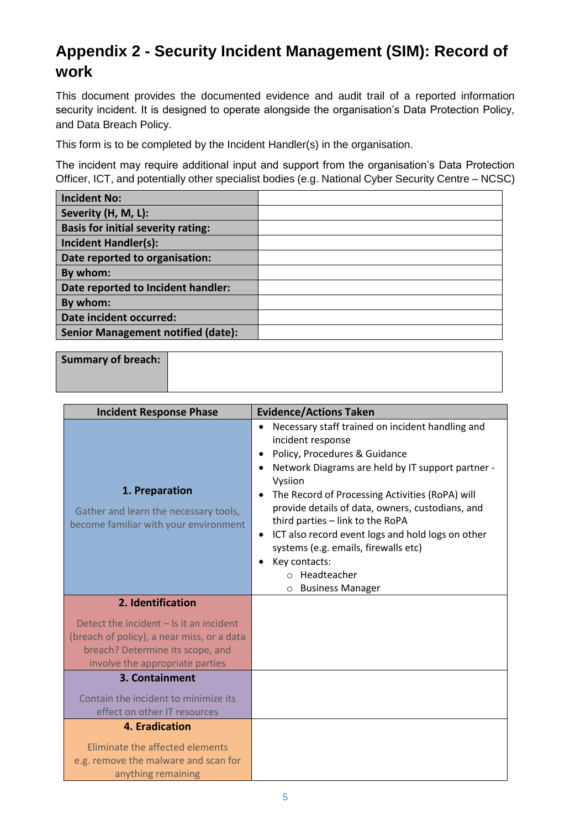## <span id="page-4-0"></span>**Appendix 2 - Security Incident Management (SIM): Record of work**

This document provides the documented evidence and audit trail of a reported information security incident. It is designed to operate alongside the organisation's Data Protection Policy, and Data Breach Policy.

This form is to be completed by the Incident Handler(s) in the organisation.

The incident may require additional input and support from the organisation's Data Protection Officer, ICT, and potentially other specialist bodies (e.g. National Cyber Security Centre – NCSC)

| <b>Incident No:</b>                       |  |
|-------------------------------------------|--|
| Severity (H, M, L):                       |  |
| <b>Basis for initial severity rating:</b> |  |
| <b>Incident Handler(s):</b>               |  |
| Date reported to organisation:            |  |
| By whom:                                  |  |
| Date reported to Incident handler:        |  |
| By whom:                                  |  |
| Date incident occurred:                   |  |
| <b>Senior Management notified (date):</b> |  |

| Summary of breach: |  |  |
|--------------------|--|--|
|                    |  |  |

| <b>Incident Response Phase</b>                                                                                                                                 | <b>Evidence/Actions Taken</b>                                                                                                                                                                                                                                                                                                                                                                                                                                                                                                                               |
|----------------------------------------------------------------------------------------------------------------------------------------------------------------|-------------------------------------------------------------------------------------------------------------------------------------------------------------------------------------------------------------------------------------------------------------------------------------------------------------------------------------------------------------------------------------------------------------------------------------------------------------------------------------------------------------------------------------------------------------|
| 1. Preparation<br>Gather and learn the necessary tools,<br>become familiar with your environment                                                               | Necessary staff trained on incident handling and<br>$\bullet$<br>incident response<br>Policy, Procedures & Guidance<br>٠<br>Network Diagrams are held by IT support partner -<br>$\bullet$<br>Vysiion<br>The Record of Processing Activities (RoPA) will<br>$\bullet$<br>provide details of data, owners, custodians, and<br>third parties - link to the RoPA<br>ICT also record event logs and hold logs on other<br>$\bullet$<br>systems (e.g. emails, firewalls etc)<br>Key contacts:<br>Headteacher<br>$\bigcirc$<br><b>Business Manager</b><br>$\circ$ |
| 2. Identification                                                                                                                                              |                                                                                                                                                                                                                                                                                                                                                                                                                                                                                                                                                             |
| Detect the incident $-$ Is it an incident<br>(breach of policy), a near miss, or a data<br>breach? Determine its scope, and<br>involve the appropriate parties |                                                                                                                                                                                                                                                                                                                                                                                                                                                                                                                                                             |
| 3. Containment                                                                                                                                                 |                                                                                                                                                                                                                                                                                                                                                                                                                                                                                                                                                             |
| Contain the incident to minimize its<br>effect on other IT resources                                                                                           |                                                                                                                                                                                                                                                                                                                                                                                                                                                                                                                                                             |
| <b>4. Eradication</b>                                                                                                                                          |                                                                                                                                                                                                                                                                                                                                                                                                                                                                                                                                                             |
| Eliminate the affected elements<br>e.g. remove the malware and scan for<br>anything remaining                                                                  |                                                                                                                                                                                                                                                                                                                                                                                                                                                                                                                                                             |